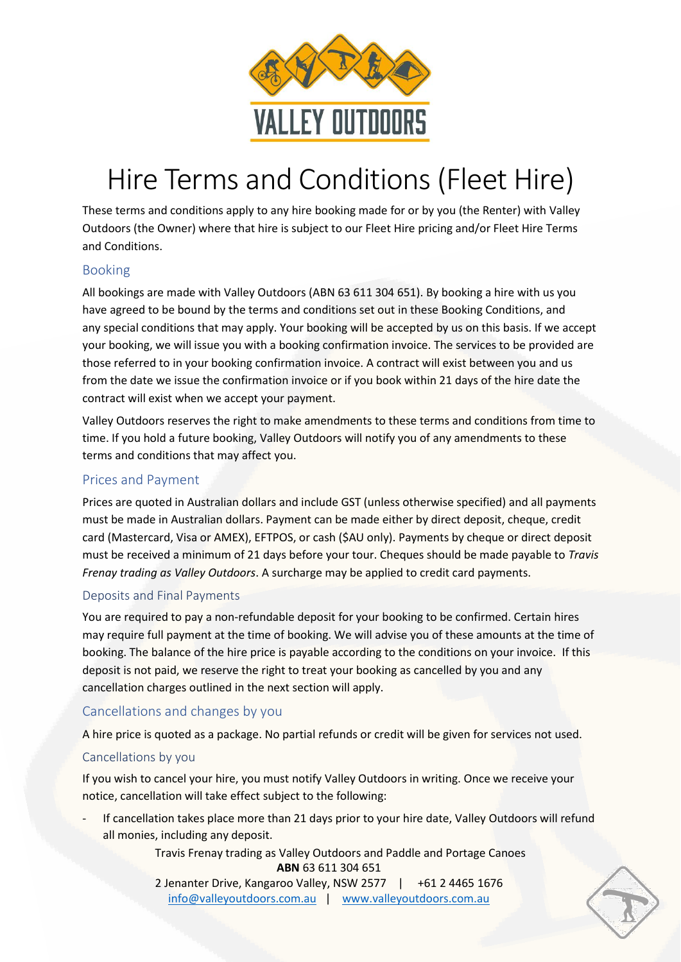

# Hire Terms and Conditions (Fleet Hire)

These terms and conditions apply to any hire booking made for or by you (the Renter) with Valley Outdoors (the Owner) where that hire is subject to our Fleet Hire pricing and/or Fleet Hire Terms and Conditions.

# Booking

All bookings are made with Valley Outdoors (ABN 63 611 304 651). By booking a hire with us you have agreed to be bound by the terms and conditions set out in these Booking Conditions, and any special conditions that may apply. Your booking will be accepted by us on this basis. If we accept your booking, we will issue you with a booking confirmation invoice. The services to be provided are those referred to in your booking confirmation invoice. A contract will exist between you and us from the date we issue the confirmation invoice or if you book within 21 days of the hire date the contract will exist when we accept your payment.

Valley Outdoors reserves the right to make amendments to these terms and conditions from time to time. If you hold a future booking, Valley Outdoors will notify you of any amendments to these terms and conditions that may affect you.

## Prices and Payment

Prices are quoted in Australian dollars and include GST (unless otherwise specified) and all payments must be made in Australian dollars. Payment can be made either by direct deposit, cheque, credit card (Mastercard, Visa or AMEX), EFTPOS, or cash (\$AU only). Payments by cheque or direct deposit must be received a minimum of 21 days before your tour. Cheques should be made payable to *Travis Frenay trading as Valley Outdoors*. A surcharge may be applied to credit card payments.

## Deposits and Final Payments

You are required to pay a non-refundable deposit for your booking to be confirmed. Certain hires may require full payment at the time of booking. We will advise you of these amounts at the time of booking. The balance of the hire price is payable according to the conditions on your invoice. If this deposit is not paid, we reserve the right to treat your booking as cancelled by you and any cancellation charges outlined in the next section will apply.

# Cancellations and changes by you

A hire price is quoted as a package. No partial refunds or credit will be given for services not used.

## Cancellations by you

If you wish to cancel your hire, you must notify Valley Outdoors in writing. Once we receive your notice, cancellation will take effect subject to the following:

If cancellation takes place more than 21 days prior to your hire date, Valley Outdoors will refund all monies, including any deposit.

> Travis Frenay trading as Valley Outdoors and Paddle and Portage Canoes **ABN** 63 611 304 651

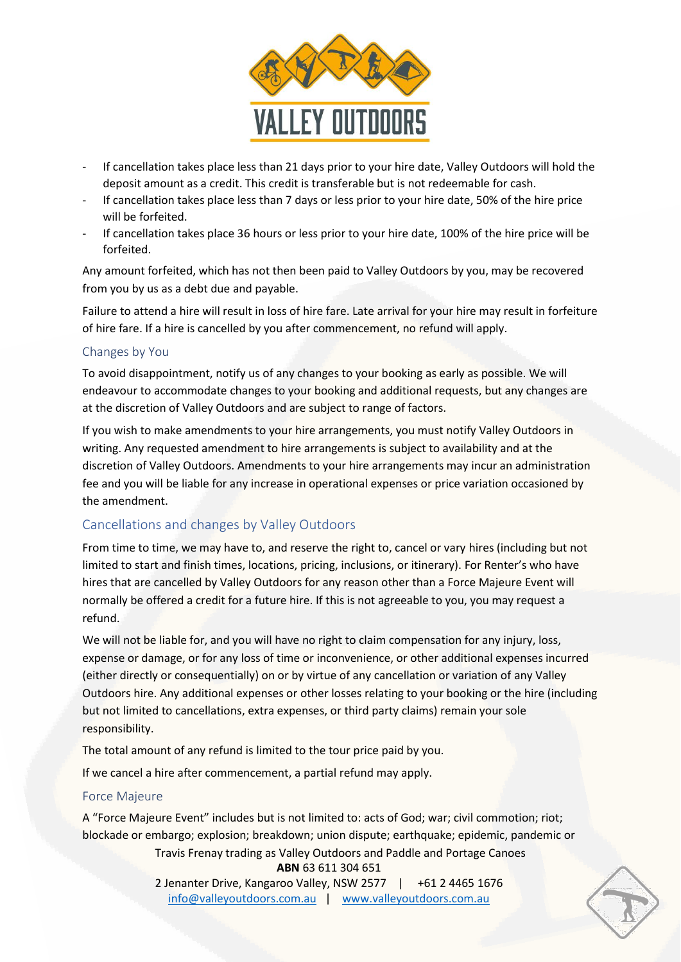

- If cancellation takes place less than 21 days prior to your hire date, Valley Outdoors will hold the deposit amount as a credit. This credit is transferable but is not redeemable for cash.
- If cancellation takes place less than 7 days or less prior to your hire date, 50% of the hire price will be forfeited.
- If cancellation takes place 36 hours or less prior to your hire date, 100% of the hire price will be forfeited.

Any amount forfeited, which has not then been paid to Valley Outdoors by you, may be recovered from you by us as a debt due and payable.

Failure to attend a hire will result in loss of hire fare. Late arrival for your hire may result in forfeiture of hire fare. If a hire is cancelled by you after commencement, no refund will apply.

## Changes by You

To avoid disappointment, notify us of any changes to your booking as early as possible. We will endeavour to accommodate changes to your booking and additional requests, but any changes are at the discretion of Valley Outdoors and are subject to range of factors.

If you wish to make amendments to your hire arrangements, you must notify Valley Outdoors in writing. Any requested amendment to hire arrangements is subject to availability and at the discretion of Valley Outdoors. Amendments to your hire arrangements may incur an administration fee and you will be liable for any increase in operational expenses or price variation occasioned by the amendment.

## Cancellations and changes by Valley Outdoors

From time to time, we may have to, and reserve the right to, cancel or vary hires (including but not limited to start and finish times, locations, pricing, inclusions, or itinerary). For Renter's who have hires that are cancelled by Valley Outdoors for any reason other than a Force Majeure Event will normally be offered a credit for a future hire. If this is not agreeable to you, you may request a refund.

We will not be liable for, and you will have no right to claim compensation for any injury, loss, expense or damage, or for any loss of time or inconvenience, or other additional expenses incurred (either directly or consequentially) on or by virtue of any cancellation or variation of any Valley Outdoors hire. Any additional expenses or other losses relating to your booking or the hire (including but not limited to cancellations, extra expenses, or third party claims) remain your sole responsibility.

The total amount of any refund is limited to the tour price paid by you.

If we cancel a hire after commencement, a partial refund may apply.

#### Force Majeure

A "Force Majeure Event" includes but is not limited to: acts of God; war; civil commotion; riot; blockade or embargo; explosion; breakdown; union dispute; earthquake; epidemic, pandemic or

> Travis Frenay trading as Valley Outdoors and Paddle and Portage Canoes **ABN** 63 611 304 651

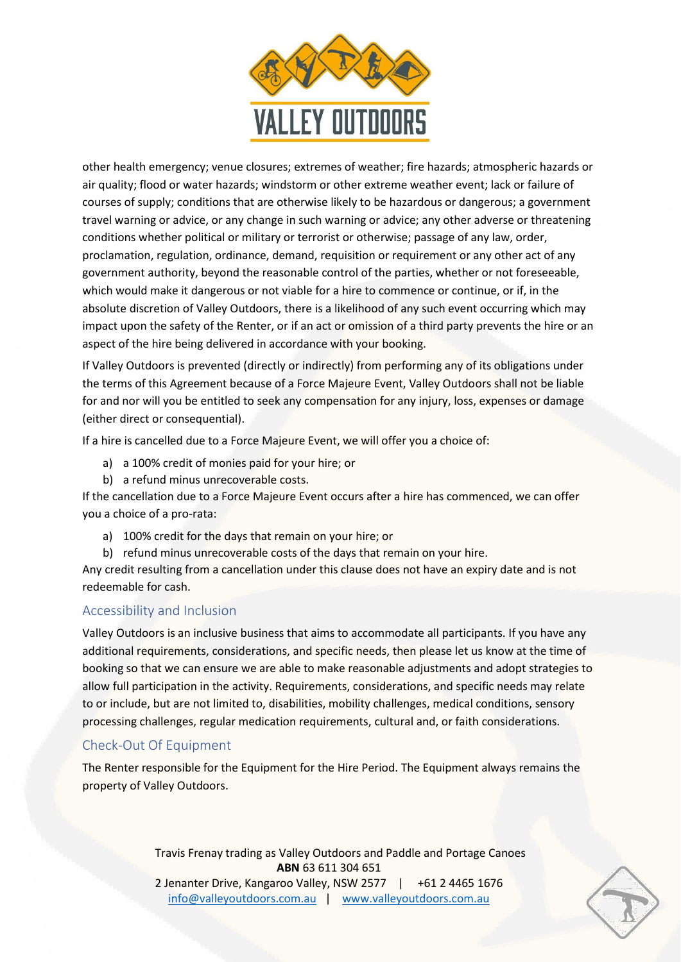

other health emergency; venue closures; extremes of weather; fire hazards; atmospheric hazards or air quality; flood or water hazards; windstorm or other extreme weather event; lack or failure of courses of supply; conditions that are otherwise likely to be hazardous or dangerous; a government travel warning or advice, or any change in such warning or advice; any other adverse or threatening conditions whether political or military or terrorist or otherwise; passage of any law, order, proclamation, regulation, ordinance, demand, requisition or requirement or any other act of any government authority, beyond the reasonable control of the parties, whether or not foreseeable, which would make it dangerous or not viable for a hire to commence or continue, or if, in the absolute discretion of Valley Outdoors, there is a likelihood of any such event occurring which may impact upon the safety of the Renter, or if an act or omission of a third party prevents the hire or an aspect of the hire being delivered in accordance with your booking.

If Valley Outdoors is prevented (directly or indirectly) from performing any of its obligations under the terms of this Agreement because of a Force Majeure Event, Valley Outdoors shall not be liable for and nor will you be entitled to seek any compensation for any injury, loss, expenses or damage (either direct or consequential).

If a hire is cancelled due to a Force Majeure Event, we will offer you a choice of:

- a) a 100% credit of monies paid for your hire; or
- b) a refund minus unrecoverable costs.

If the cancellation due to a Force Majeure Event occurs after a hire has commenced, we can offer you a choice of a pro-rata:

- a) 100% credit for the days that remain on your hire; or
- b) refund minus unrecoverable costs of the days that remain on your hire.

Any credit resulting from a cancellation under this clause does not have an expiry date and is not redeemable for cash.

## Accessibility and Inclusion

Valley Outdoors is an inclusive business that aims to accommodate all participants. If you have any additional requirements, considerations, and specific needs, then please let us know at the time of booking so that we can ensure we are able to make reasonable adjustments and adopt strategies to allow full participation in the activity. Requirements, considerations, and specific needs may relate to or include, but are not limited to, disabilities, mobility challenges, medical conditions, sensory processing challenges, regular medication requirements, cultural and, or faith considerations.

## Check-Out Of Equipment

The Renter responsible for the Equipment for the Hire Period. The Equipment always remains the property of Valley Outdoors.

> Travis Frenay trading as Valley Outdoors and Paddle and Portage Canoes **ABN** 63 611 304 651 2 Jenanter Drive, Kangaroo Valley, NSW 2577 | +61 2 4465 1676 [info@valleyoutdoors.com.au](mailto:info@valleyoutdoors.com.au) | [www.valleyoutdoors.com.au](http://www.valleyoutdoors.com.au/)

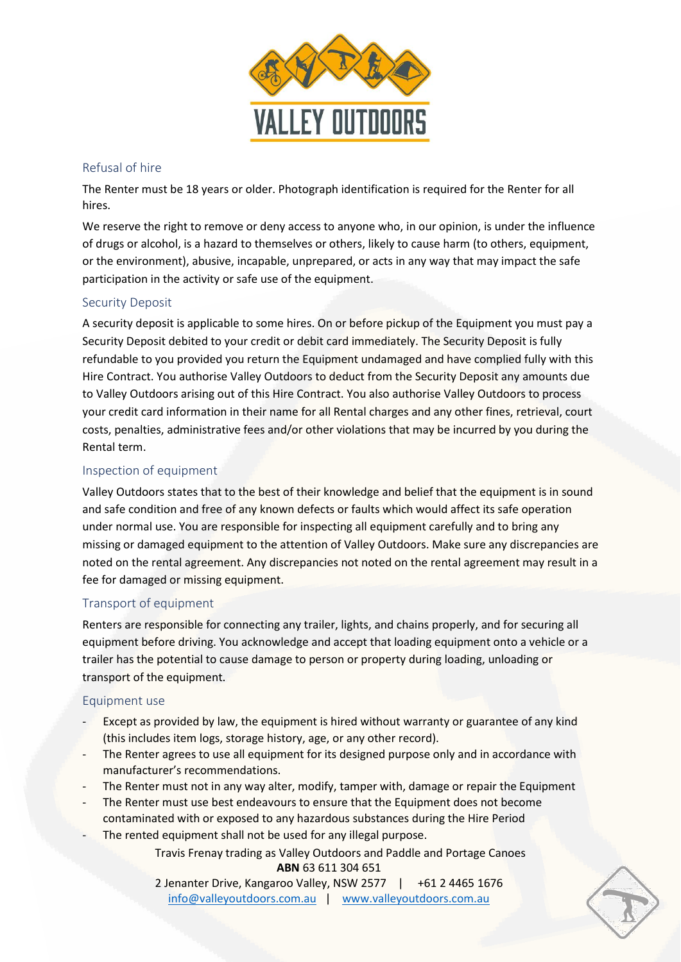

#### Refusal of hire

The Renter must be 18 years or older. Photograph identification is required for the Renter for all hires.

We reserve the right to remove or deny access to anyone who, in our opinion, is under the influence of drugs or alcohol, is a hazard to themselves or others, likely to cause harm (to others, equipment, or the environment), abusive, incapable, unprepared, or acts in any way that may impact the safe participation in the activity or safe use of the equipment.

## Security Deposit

A security deposit is applicable to some hires. On or before pickup of the Equipment you must pay a Security Deposit debited to your credit or debit card immediately. The Security Deposit is fully refundable to you provided you return the Equipment undamaged and have complied fully with this Hire Contract. You authorise Valley Outdoors to deduct from the Security Deposit any amounts due to Valley Outdoors arising out of this Hire Contract. You also authorise Valley Outdoors to process your credit card information in their name for all Rental charges and any other fines, retrieval, court costs, penalties, administrative fees and/or other violations that may be incurred by you during the Rental term.

## Inspection of equipment

Valley Outdoors states that to the best of their knowledge and belief that the equipment is in sound and safe condition and free of any known defects or faults which would affect its safe operation under normal use. You are responsible for inspecting all equipment carefully and to bring any missing or damaged equipment to the attention of Valley Outdoors. Make sure any discrepancies are noted on the rental agreement. Any discrepancies not noted on the rental agreement may result in a fee for damaged or missing equipment.

#### Transport of equipment

Renters are responsible for connecting any trailer, lights, and chains properly, and for securing all equipment before driving. You acknowledge and accept that loading equipment onto a vehicle or a trailer has the potential to cause damage to person or property during loading, unloading or transport of the equipment.

#### Equipment use

- Except as provided by law, the equipment is hired without warranty or guarantee of any kind (this includes item logs, storage history, age, or any other record).
- The Renter agrees to use all equipment for its designed purpose only and in accordance with manufacturer's recommendations.
- The Renter must not in any way alter, modify, tamper with, damage or repair the Equipment
- The Renter must use best endeavours to ensure that the Equipment does not become contaminated with or exposed to any hazardous substances during the Hire Period
- The rented equipment shall not be used for any illegal purpose.

Travis Frenay trading as Valley Outdoors and Paddle and Portage Canoes **ABN** 63 611 304 651

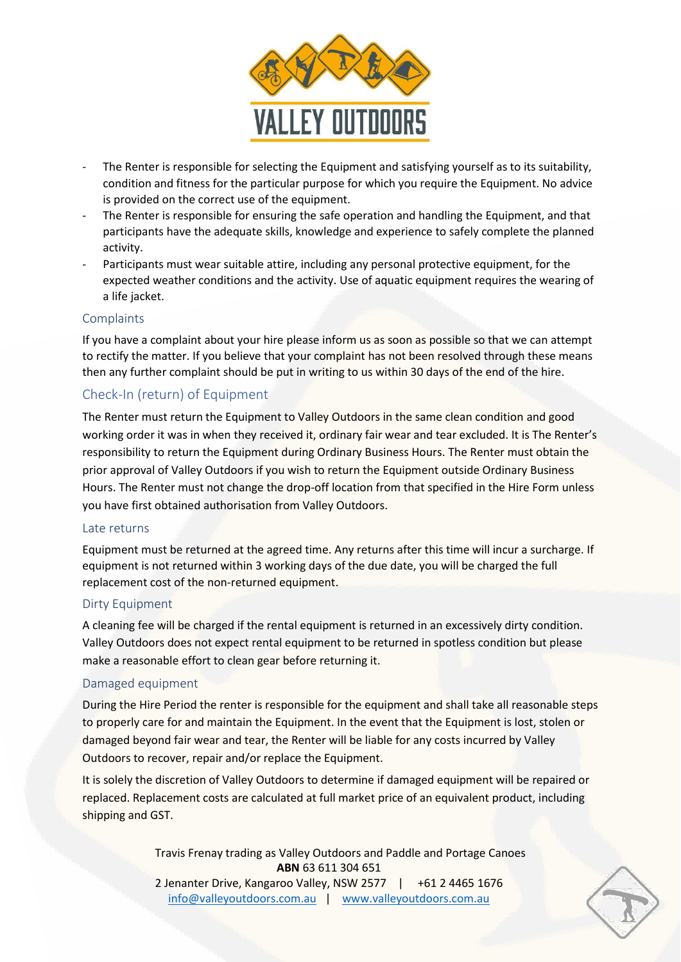

- The Renter is responsible for selecting the Equipment and satisfying yourself as to its suitability, condition and fitness for the particular purpose for which you require the Equipment. No advice is provided on the correct use of the equipment.
- The Renter is responsible for ensuring the safe operation and handling the Equipment, and that participants have the adequate skills, knowledge and experience to safely complete the planned activity.
- Participants must wear suitable attire, including any personal protective equipment, for the expected weather conditions and the activity. Use of aquatic equipment requires the wearing of a life jacket.

#### **Complaints**

If you have a complaint about your hire please inform us as soon as possible so that we can attempt to rectify the matter. If you believe that your complaint has not been resolved through these means then any further complaint should be put in writing to us within 30 days of the end of the hire.

# Check-In (return) of Equipment

The Renter must return the Equipment to Valley Outdoors in the same clean condition and good working order it was in when they received it, ordinary fair wear and tear excluded. It is The Renter's responsibility to return the Equipment during Ordinary Business Hours. The Renter must obtain the prior approval of Valley Outdoors if you wish to return the Equipment outside Ordinary Business Hours. The Renter must not change the drop-off location from that specified in the Hire Form unless you have first obtained authorisation from Valley Outdoors.

#### Late returns

Equipment must be returned at the agreed time. Any returns after this time will incur a surcharge. If equipment is not returned within 3 working days of the due date, you will be charged the full replacement cost of the non-returned equipment.

#### Dirty Equipment

A cleaning fee will be charged if the rental equipment is returned in an excessively dirty condition. Valley Outdoors does not expect rental equipment to be returned in spotless condition but please make a reasonable effort to clean gear before returning it.

#### Damaged equipment

During the Hire Period the renter is responsible for the equipment and shall take all reasonable steps to properly care for and maintain the Equipment. In the event that the Equipment is lost, stolen or damaged beyond fair wear and tear, the Renter will be liable for any costs incurred by Valley Outdoors to recover, repair and/or replace the Equipment.

It is solely the discretion of Valley Outdoors to determine if damaged equipment will be repaired or replaced. Replacement costs are calculated at full market price of an equivalent product, including shipping and GST.

> Travis Frenay trading as Valley Outdoors and Paddle and Portage Canoes **ABN** 63 611 304 651 2 Jenanter Drive, Kangaroo Valley, NSW 2577 | +61 2 4465 1676 [info@valleyoutdoors.com.au](mailto:info@valleyoutdoors.com.au) | [www.valleyoutdoors.com.au](http://www.valleyoutdoors.com.au/)

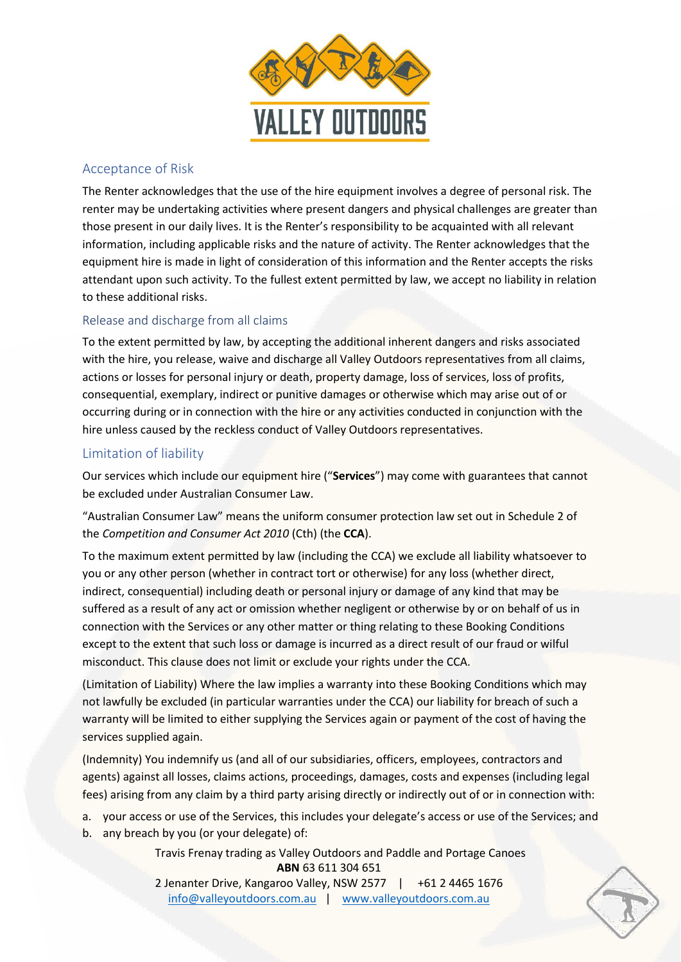

# Acceptance of Risk

The Renter acknowledges that the use of the hire equipment involves a degree of personal risk. The renter may be undertaking activities where present dangers and physical challenges are greater than those present in our daily lives. It is the Renter's responsibility to be acquainted with all relevant information, including applicable risks and the nature of activity. The Renter acknowledges that the equipment hire is made in light of consideration of this information and the Renter accepts the risks attendant upon such activity. To the fullest extent permitted by law, we accept no liability in relation to these additional risks.

## Release and discharge from all claims

To the extent permitted by law, by accepting the additional inherent dangers and risks associated with the hire, you release, waive and discharge all Valley Outdoors representatives from all claims, actions or losses for personal injury or death, property damage, loss of services, loss of profits, consequential, exemplary, indirect or punitive damages or otherwise which may arise out of or occurring during or in connection with the hire or any activities conducted in conjunction with the hire unless caused by the reckless conduct of Valley Outdoors representatives.

# Limitation of liability

Our services which include our equipment hire ("**Services**") may come with guarantees that cannot be excluded under Australian Consumer Law.

"Australian Consumer Law" means the uniform consumer protection law set out in Schedule 2 of the *Competition and Consumer Act 2010* (Cth) (the **CCA**).

To the maximum extent permitted by law (including the CCA) we exclude all liability whatsoever to you or any other person (whether in contract tort or otherwise) for any loss (whether direct, indirect, consequential) including death or personal injury or damage of any kind that may be suffered as a result of any act or omission whether negligent or otherwise by or on behalf of us in connection with the Services or any other matter or thing relating to these Booking Conditions except to the extent that such loss or damage is incurred as a direct result of our fraud or wilful misconduct. This clause does not limit or exclude your rights under the CCA.

(Limitation of Liability) Where the law implies a warranty into these Booking Conditions which may not lawfully be excluded (in particular warranties under the CCA) our liability for breach of such a warranty will be limited to either supplying the Services again or payment of the cost of having the services supplied again.

(Indemnity) You indemnify us (and all of our subsidiaries, officers, employees, contractors and agents) against all losses, claims actions, proceedings, damages, costs and expenses (including legal fees) arising from any claim by a third party arising directly or indirectly out of or in connection with:

a. your access or use of the Services, this includes your delegate's access or use of the Services; and

b. any breach by you (or your delegate) of:

Travis Frenay trading as Valley Outdoors and Paddle and Portage Canoes **ABN** 63 611 304 651